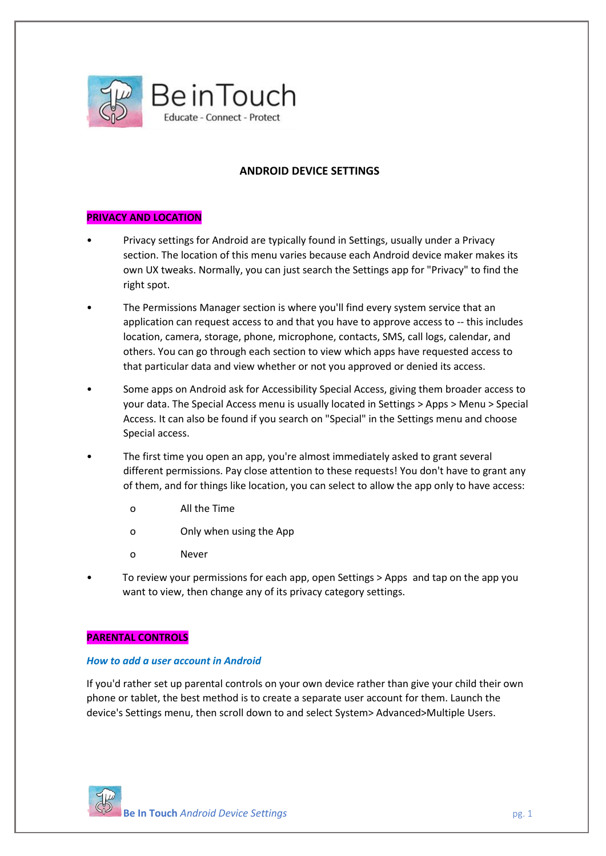

# **ANDROID DEVICE SETTINGS**

## **PRIVACY AND LOCATION**

- Privacy settings for Android are typically found in Settings, usually under a Privacy section. The location of this menu varies because each Android device maker makes its own UX tweaks. Normally, you can just search the Settings app for "Privacy" to find the right spot.
- The Permissions Manager section is where you'll find every system service that an application can request access to and that you have to approve access to -- this includes location, camera, storage, phone, microphone, contacts, SMS, call logs, calendar, and others. You can go through each section to view which apps have requested access to that particular data and view whether or not you approved or denied its access.
- Some apps on Android ask for Accessibility Special Access, giving them broader access to your data. The Special Access menu is usually located in Settings > Apps > Menu > Special Access. It can also be found if you search on "Special" in the Settings menu and choose Special access.
- The first time you open an app, you're almost immediately asked to grant several different permissions. Pay close attention to these requests! You don't have to grant any of them, and for things like location, you can select to allow the app only to have access:
	- o All the Time
	- o Only when using the App
	- o Never
- To review your permissions for each app, open Settings > Apps and tap on the app you want to view, then change any of its privacy category settings.

### **PARENTAL CONTROLS**

### *How to add a user account in Android*

If you'd rather set up parental controls on your own device rather than give your child their own phone or tablet, the best method is to create a separate user account for them. Launch the device's Settings menu, then scroll down to and select System> Advanced>Multiple Users.

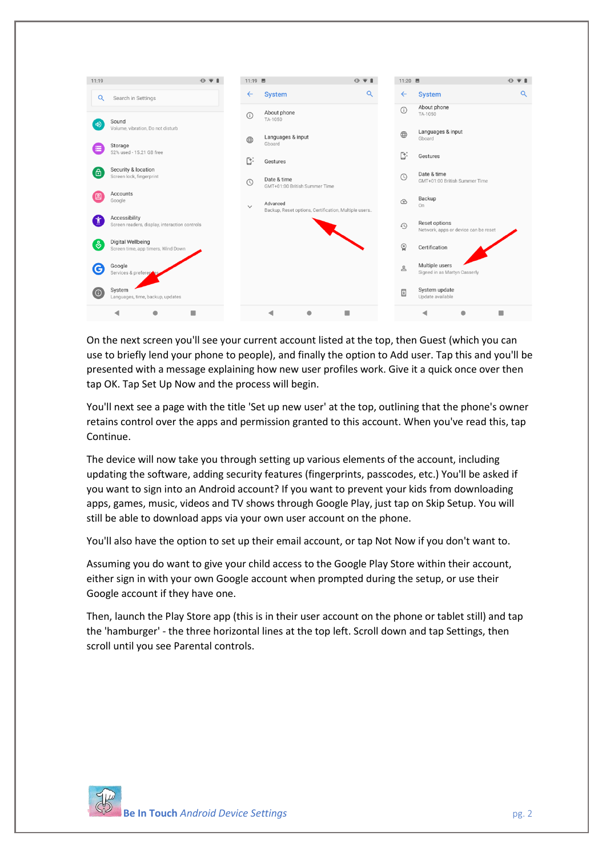

On the next screen you'll see your current account listed at the top, then Guest (which you can use to briefly lend your phone to people), and finally the option to Add user. Tap this and you'll be presented with a message explaining how new user profiles work. Give it a quick once over then tap OK. Tap Set Up Now and the process will begin.

You'll next see a page with the title 'Set up new user' at the top, outlining that the phone's owner retains control over the apps and permission granted to this account. When you've read this, tap Continue.

The device will now take you through setting up various elements of the account, including updating the software, adding security features (fingerprints, passcodes, etc.) You'll be asked if you want to sign into an Android account? If you want to prevent your kids from downloading apps, games, music, videos and TV shows through Google Play, just tap on Skip Setup. You will still be able to download apps via your own user account on the phone.

You'll also have the option to set up their email account, or tap Not Now if you don't want to.

Assuming you do want to give your child access to the Google Play Store within their account, either sign in with your own Google account when prompted during the setup, or use their Google account if they have one.

Then, launch the Play Store app (this is in their user account on the phone or tablet still) and tap the 'hamburger' - the three horizontal lines at the top left. Scroll down and tap Settings, then scroll until you see Parental controls.

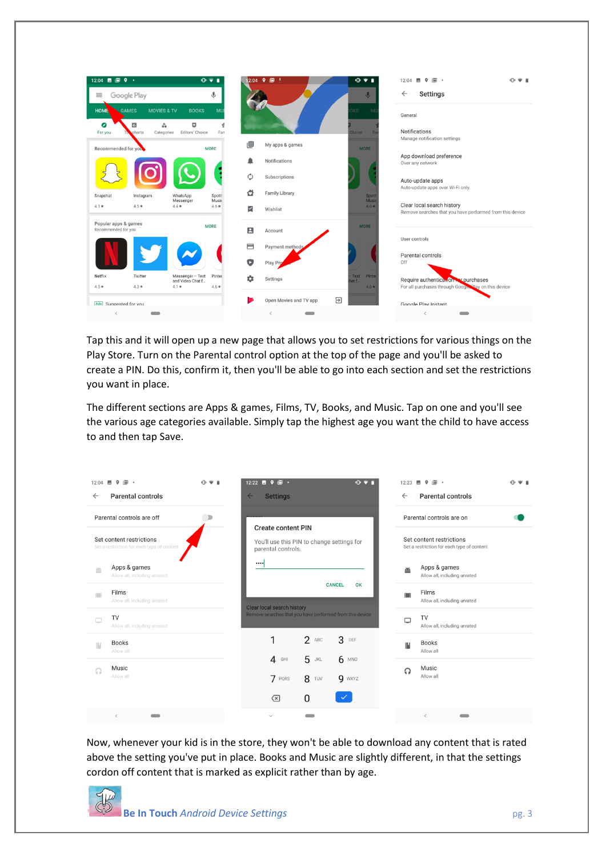

Tap this and it will open up a new page that allows you to set restrictions for various things on the Play Store. Turn on the Parental control option at the top of the page and you'll be asked to create a PIN. Do this, confirm it, then you'll be able to go into each section and set the restrictions you want in place.

The different sections are Apps & games, Films, TV, Books, and Music. Tap on one and you'll see the various age categories available. Simply tap the highest age you want the child to have access to and then tap Save.

| 12:04 图                                                                | $\circ$<br>$\blacksquare$                    | 0.9.1                                                                                         | 12:22 图 9 画 ·                   |                | $0 \times 1$                                             | 12:23 国                                                                | $\circ$<br>$\mathbb{E}$ .                    |  |
|------------------------------------------------------------------------|----------------------------------------------|-----------------------------------------------------------------------------------------------|---------------------------------|----------------|----------------------------------------------------------|------------------------------------------------------------------------|----------------------------------------------|--|
| $\leftarrow$                                                           | <b>Parental controls</b>                     |                                                                                               | <b>Settings</b><br>$\leftarrow$ |                |                                                          | $\leftarrow$                                                           | <b>Parental controls</b>                     |  |
|                                                                        | Parental controls are off                    | - 10                                                                                          |                                 |                |                                                          |                                                                        | Parental controls are on                     |  |
| Set content restrictions<br>Set a restriction for each type of content |                                              | <b>Create content PIN</b><br>You'll use this PIN to change settings for<br>parental controls. |                                 |                |                                                          | Set content restrictions<br>Set a restriction for each type of content |                                              |  |
| 兰                                                                      | Apps & games<br>Allow all, including unrated |                                                                                               | $\cdots$                        |                |                                                          | 巹                                                                      | Apps & games<br>Allow all, including unrated |  |
|                                                                        | Films<br>Allow all, including unrated        |                                                                                               | Clear local search history      |                | <b>CANCEL</b><br>OK                                      |                                                                        | Films<br>Allow all, including unrated        |  |
| $\qquad \qquad \Box$                                                   | TV<br>Allow all, including unrated           |                                                                                               |                                 |                | Remove searches that you have performed from this device | $\Box$                                                                 | TV<br>Allow all, including unrated           |  |
|                                                                        | <b>Books</b><br>Allow all                    |                                                                                               | 1                               | $2$ ABC        | 3<br>DEF                                                 |                                                                        | <b>Books</b><br>Allow all                    |  |
| 63                                                                     | Music<br>Allow all                           |                                                                                               | 4 GHI<br>7 PQRS                 | 5 JKL<br>8 TUV | 6 MNO<br><b>9</b> WXYZ                                   | ດ                                                                      | Music<br>Allow all                           |  |
|                                                                        |                                              |                                                                                               | ⊠                               | $\mathbf{0}$   | $\blacktriangledown$                                     |                                                                        |                                              |  |
|                                                                        | $\langle$                                    |                                                                                               | $\checkmark$                    |                |                                                          |                                                                        | $\langle$                                    |  |

Now, whenever your kid is in the store, they won't be able to download any content that is rated above the setting you've put in place. Books and Music are slightly different, in that the settings cordon off content that is marked as explicit rather than by age.

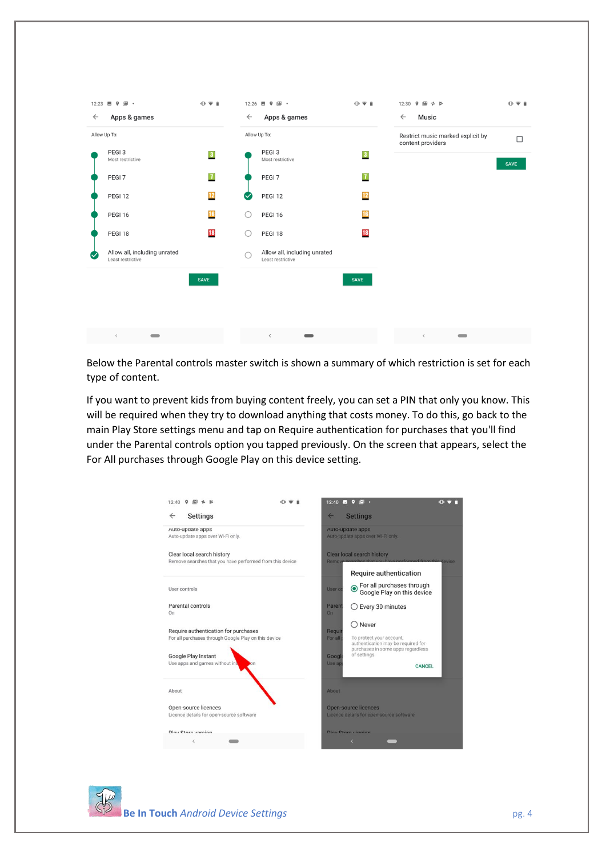| 12:23 图 9 画 •                                                     | $0 \times i$   |              | 12:26 图 9 画 •                                     | $Q_1 \nabla_2$   | 12:30 9 画 # 毕                                          | ďЪ<br>$\overline{\phantom{a}}$ |
|-------------------------------------------------------------------|----------------|--------------|---------------------------------------------------|------------------|--------------------------------------------------------|--------------------------------|
| $\leftarrow$<br>Apps & games                                      |                | $\leftarrow$ | Apps & games                                      |                  | Music<br>$\leftarrow$                                  |                                |
| Allow Up To:                                                      |                |              | Allow Up To:                                      |                  | Restrict music marked explicit by<br>content providers | П                              |
| PEGI <sub>3</sub><br>Most restrictive                             | $\mathbf{3}$   |              | PEGI <sub>3</sub><br>Most restrictive             | $\boldsymbol{3}$ |                                                        | <b>SAVE</b>                    |
| PEGI <sub>7</sub>                                                 | $\mathbf{I}$   |              | PEGI <sub>7</sub>                                 | $\overline{1}$   |                                                        |                                |
| PEGI 12                                                           | 12             | M            | PEGI 12                                           | 12               |                                                        |                                |
| PEGI 16                                                           | 16             | ◯            | PEGI 16                                           | 16               |                                                        |                                |
| PEGI 18                                                           | 18             | ◯            | PEGI 18                                           | 18               |                                                        |                                |
| Allow all, including unrated<br>$\checkmark$<br>Least restrictive |                |              | Allow all, including unrated<br>Least restrictive |                  |                                                        |                                |
|                                                                   | <b>SAVE</b>    |              |                                                   | <b>SAVE</b>      |                                                        |                                |
|                                                                   |                |              |                                                   |                  |                                                        |                                |
|                                                                   |                |              |                                                   |                  |                                                        |                                |
| $\langle$                                                         | $\blacksquare$ |              | $\,$ $\,$<br>$\qquad \qquad$                      |                  | $\,<\,$<br>$\qquad \qquad \blacksquare$                |                                |

Below the Parental controls master switch is shown a summary of which restriction is set for each type of content.

If you want to prevent kids from buying content freely, you can set a PIN that only you know. This will be required when they try to download anything that costs money. To do this, go back to the main Play Store settings menu and tap on Require authentication for purchases that you'll find under the Parental controls option you tapped previously. On the screen that appears, select the For All purchases through Google Play on this device setting.

| 12:40                                                                                                                                                 | 12:40                                                                                                                                                                                 |  |  |  |  |
|-------------------------------------------------------------------------------------------------------------------------------------------------------|---------------------------------------------------------------------------------------------------------------------------------------------------------------------------------------|--|--|--|--|
| <b>Settings</b><br>$\leftarrow$                                                                                                                       | <b>Settings</b><br>←                                                                                                                                                                  |  |  |  |  |
| Auto-update apps<br>Auto-update apps over Wi-Fi only.                                                                                                 | Auto-upgate apps<br>Auto-update apps over Wi-Fi only.                                                                                                                                 |  |  |  |  |
| Clear local search history<br>Remove searches that you have performed from this device                                                                | Clear local search history<br>Remove searches that you have norformed from this device                                                                                                |  |  |  |  |
|                                                                                                                                                       | Require authentication                                                                                                                                                                |  |  |  |  |
| User controls                                                                                                                                         | ● For all purchases through<br>Google Play on this device<br>User co                                                                                                                  |  |  |  |  |
| Parental controls<br>On                                                                                                                               | Parent<br>$\bigcirc$ Every 30 minutes<br><b>On</b>                                                                                                                                    |  |  |  |  |
| Require authentication for purchases<br>For all purchases through Google Play on this device<br>Google Play Instant<br>Use apps and games without ins | Never<br>Requir<br>To protect your account,<br>For all<br>authentication may be required for<br>purchases in some apps regardless<br>of settings.<br>Googl<br>Use ap<br><b>CANCEL</b> |  |  |  |  |
| About                                                                                                                                                 | About                                                                                                                                                                                 |  |  |  |  |
| Open-source licences<br>Licence details for open-source software                                                                                      | Open-source licences<br>Licence details for open-source software                                                                                                                      |  |  |  |  |
| Dlay Ctaro vareion                                                                                                                                    | Diau Ctara vareion                                                                                                                                                                    |  |  |  |  |
|                                                                                                                                                       | ×                                                                                                                                                                                     |  |  |  |  |